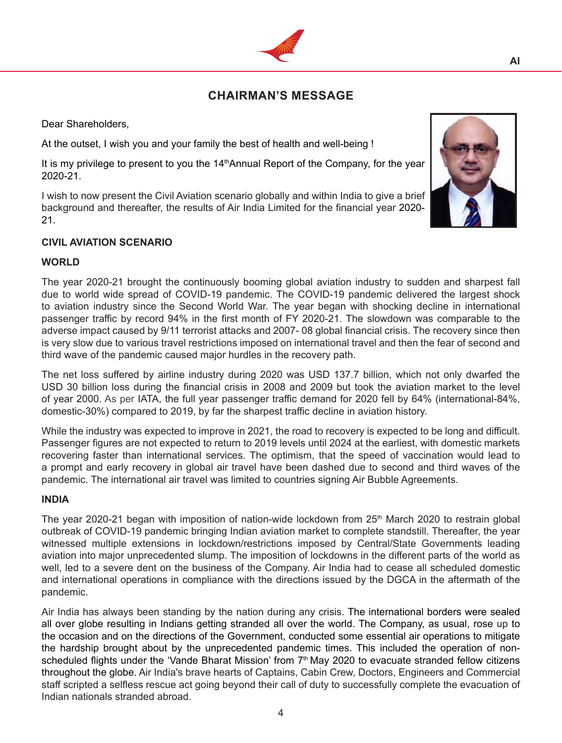# **CHAIRMAN'S MESSAGE**

Dear Shareholders,

At the outset, I wish you and your family the best of health and well-being !

It is my privilege to present to you the 14<sup>th</sup>Annual Report of the Company, for the year 2020-21.

I wish to now present the Civil Aviation scenario globally and within India to give a brief background and thereafter, the results of Air India Limited for the financial year 2020- 21.

### **CIVIL AVIATION SCENARIO**

### **WORLD**

The year 2020-21 brought the continuously booming global aviation industry to sudden and sharpest fall due to world wide spread of COVID-19 pandemic. The COVID-19 pandemic delivered the largest shock to aviation industry since the Second World War. The year began with shocking decline in international passenger traffic by record 94% in the first month of FY 2020-21. The slowdown was comparable to the adverse impact caused by 9/11 terrorist attacks and 2007- 08 global financial crisis. The recovery since then is very slow due to various travel restrictions imposed on international travel and then the fear of second and third wave of the pandemic caused major hurdles in the recovery path.

The net loss suffered by airline industry during 2020 was USD 137.7 billion, which not only dwarfed the USD 30 billion loss during the financial crisis in 2008 and 2009 but took the aviation market to the level of year 2000. As per IATA, the full year passenger traffic demand for 2020 fell by 64% (international-84%, domestic-30%) compared to 2019, by far the sharpest traffic decline in aviation history.

While the industry was expected to improve in 2021, the road to recovery is expected to be long and difficult. Passenger figures are not expected to return to 2019 levels until 2024 at the earliest, with domestic markets recovering faster than international services. The optimism, that the speed of vaccination would lead to a prompt and early recovery in global air travel have been dashed due to second and third waves of the pandemic. The international air travel was limited to countries signing Air Bubble Agreements.

#### **INDIA**

The year 2020-21 began with imposition of nation-wide lockdown from  $25<sup>th</sup>$  March 2020 to restrain global outbreak of COVID-19 pandemic bringing Indian aviation market to complete standstill. Thereafter, the year witnessed multiple extensions in lockdown/restrictions imposed by Central/State Governments leading aviation into major unprecedented slump. The imposition of lockdowns in the different parts of the world as well, led to a severe dent on the business of the Company. Air India had to cease all scheduled domestic and international operations in compliance with the directions issued by the DGCA in the aftermath of the pandemic.

Air India has always been standing by the nation during any crisis. The international borders were sealed all over globe resulting in Indians getting stranded all over the world. The Company, as usual, rose up to the occasion and on the directions of the Government, conducted some essential air operations to mitigate the hardship brought about by the unprecedented pandemic times. This included the operation of nonscheduled flights under the 'Vande Bharat Mission' from  $7<sup>th</sup>$  May 2020 to evacuate stranded fellow citizens throughout the globe. Air India's brave hearts of Captains, Cabin Crew, Doctors, Engineers and Commercial staff scripted a selfless rescue act going beyond their call of duty to successfully complete the evacuation of Indian nationals stranded abroad.



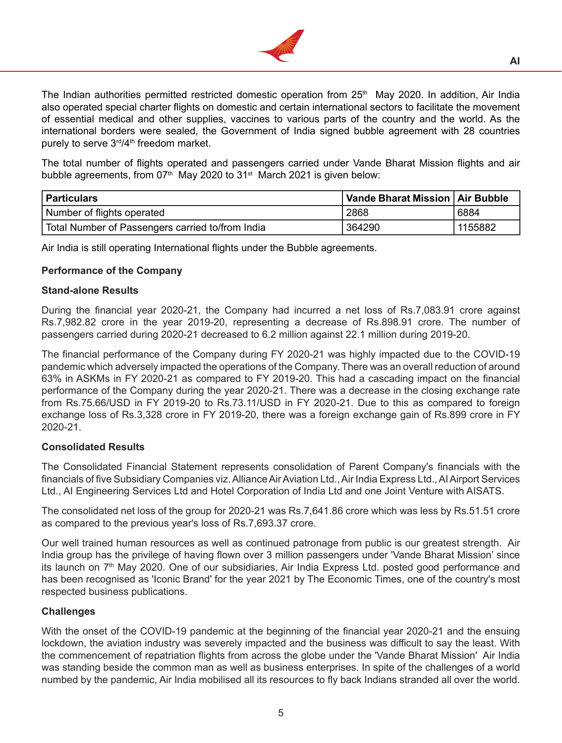

The Indian authorities permitted restricted domestic operation from  $25<sup>th</sup>$  May 2020. In addition, Air India also operated special charter flights on domestic and certain international sectors to facilitate the movement of essential medical and other supplies, vaccines to various parts of the country and the world. As the international borders were sealed, the Government of India signed bubble agreement with 28 countries purely to serve 3<sup>rd</sup>/4<sup>th</sup> freedom market.

The total number of flights operated and passengers carried under Vande Bharat Mission flights and air bubble agreements, from  $07<sup>th</sup>$  May 2020 to  $31<sup>st</sup>$  March 2021 is given below:

| Particulars                                      | Vande Bharat Mission   Air Bubble |         |
|--------------------------------------------------|-----------------------------------|---------|
| Number of flights operated                       | 2868                              | 6884    |
| Total Number of Passengers carried to/from India | 364290                            | 1155882 |

Air India is still operating International flights under the Bubble agreements.

#### **Performance of the Company**

#### **Stand-alone Results**

During the financial year 2020-21, the Company had incurred a net loss of Rs.7,083.91 crore against Rs.7,982.82 crore in the year 2019-20, representing a decrease of Rs.898.91 crore. The number of passengers carried during 2020-21 decreased to 6.2 million against 22.1 million during 2019-20.

The financial performance of the Company during FY 2020-21 was highly impacted due to the COVID-19 pandemic which adversely impacted the operations of the Company. There was an overall reduction of around 63% in ASKMs in FY 2020-21 as compared to FY 2019-20. This had a cascading impact on the financial performance of the Company during the year 2020-21. There was a decrease in the closing exchange rate from Rs.75.66/USD in FY 2019-20 to Rs.73.11/USD in FY 2020-21. Due to this as compared to foreign exchange loss of Rs.3,328 crore in FY 2019-20, there was a foreign exchange gain of Rs.899 crore in FY 2020-21.

#### **Consolidated Results**

The Consolidated Financial Statement represents consolidation of Parent Company's financials with the financials of five Subsidiary Companies viz. Alliance Air Aviation Ltd., Air India Express Ltd., Al Airport Services Ltd., AI Engineering Services Ltd and Hotel Corporation of India Ltd and one Joint Venture with AISATS.

The consolidated net loss of the group for 2020-21 was Rs.7,641.86 crore which was less by Rs.51.51 crore as compared to the previous year's loss of Rs.7,693.37 crore.

Our well trained human resources as well as continued patronage from public is our greatest strength. Air India group has the privilege of having flown over 3 million passengers under 'Vande Bharat Mission' since its launch on 7th May 2020. One of our subsidiaries, Air India Express Ltd. posted good performance and has been recognised as 'Iconic Brand' for the year 2021 by The Economic Times, one of the country's most respected business publications.

#### **Challenges**

With the onset of the COVID-19 pandemic at the beginning of the financial year 2020-21 and the ensuing lockdown, the aviation industry was severely impacted and the business was difficult to say the least. With the commencement of repatriation flights from across the globe under the 'Vande Bharat Mission' Air India was standing beside the common man as well as business enterprises. In spite of the challenges of a world numbed by the pandemic, Air India mobilised all its resources to fly back Indians stranded all over the world.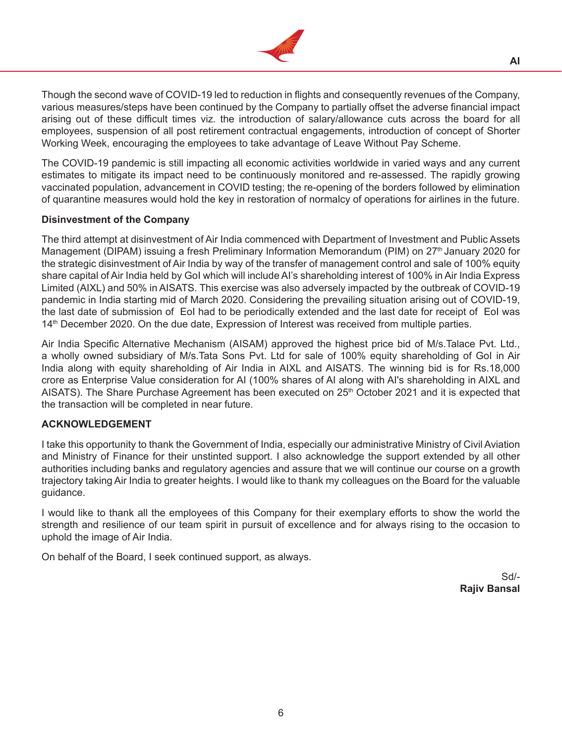

Though the second wave of COVID-19 led to reduction in flights and consequently revenues of the Company, various measures/steps have been continued by the Company to partially offset the adverse financial impact arising out of these difficult times viz. the introduction of salary/allowance cuts across the board for all employees, suspension of all post retirement contractual engagements, introduction of concept of Shorter Working Week, encouraging the employees to take advantage of Leave Without Pay Scheme.

The COVID-19 pandemic is still impacting all economic activities worldwide in varied ways and any current estimates to mitigate its impact need to be continuously monitored and re-assessed. The rapidly growing vaccinated population, advancement in COVID testing; the re-opening of the borders followed by elimination of quarantine measures would hold the key in restoration of normalcy of operations for airlines in the future.

# **Disinvestment of the Company**

The third attempt at disinvestment of Air India commenced with Department of Investment and Public Assets Management (DIPAM) issuing a fresh Preliminary Information Memorandum (PIM) on 27<sup>th</sup> January 2020 for the strategic disinvestment of Air India by way of the transfer of management control and sale of 100% equity share capital of Air India held by GoI which will include AI's shareholding interest of 100% in Air India Express Limited (AIXL) and 50% in AISATS. This exercise was also adversely impacted by the outbreak of COVID-19 pandemic in India starting mid of March 2020. Considering the prevailing situation arising out of COVID-19, the last date of submission of EoI had to be periodically extended and the last date for receipt of EoI was 14<sup>th</sup> December 2020. On the due date, Expression of Interest was received from multiple parties.

Air India Specific Alternative Mechanism (AISAM) approved the highest price bid of M/s.Talace Pvt. Ltd., a wholly owned subsidiary of M/s.Tata Sons Pvt. Ltd for sale of 100% equity shareholding of GoI in Air India along with equity shareholding of Air India in AIXL and AISATS. The winning bid is for Rs.18,000 crore as Enterprise Value consideration for AI (100% shares of AI along with AI's shareholding in AIXL and AISATS). The Share Purchase Agreement has been executed on 25<sup>th</sup> October 2021 and it is expected that the transaction will be completed in near future.

### **ACKNOWLEDGEMENT**

I take this opportunity to thank the Government of India, especially our administrative Ministry of Civil Aviation and Ministry of Finance for their unstinted support. I also acknowledge the support extended by all other authorities including banks and regulatory agencies and assure that we will continue our course on a growth trajectory taking Air India to greater heights. I would like to thank my colleagues on the Board for the valuable guidance.

I would like to thank all the employees of this Company for their exemplary efforts to show the world the strength and resilience of our team spirit in pursuit of excellence and for always rising to the occasion to uphold the image of Air India.

On behalf of the Board, I seek continued support, as always.

Sd/- **Rajiv Bansal**